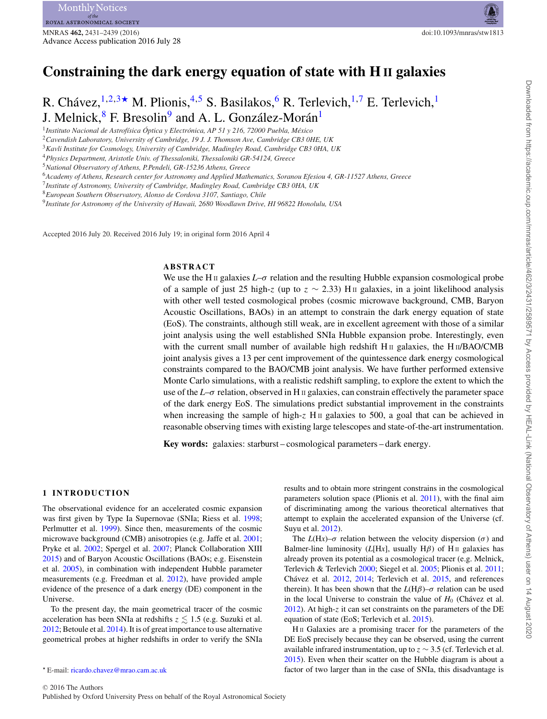# **Constraining the dark energy equation of state with H II galaxies**

R. Chávez,  $^{1,2,3}$  $^{1,2,3}$  $^{1,2,3}$  $^{1,2,3}$  $^{1,2,3}$ \* M. Plionis,  $^{4,5}$  $^{4,5}$  $^{4,5}$  $^{4,5}$  S. Basilakos,  $^{6}$  R. Terlevich,  $^{1,7}$  $^{1,7}$  $^{1,7}$  E. Terlevich,  $^{1}$  $^{1}$  $^{1}$ J. Melnick,<sup>[8](#page-0-8)</sup> F. Bresolin<sup>9</sup> and A. L. González-Morán<sup>[1](#page-0-0)</sup>

<span id="page-0-0"></span><sup>1</sup>*Instituto Nacional de Astrof´ısica Optica y Electr ´ onica, AP 51 y 216, 72000 Puebla, M ´ exico ´*

<span id="page-0-1"></span><sup>2</sup>*Cavendish Laboratory, University of Cambridge, 19 J. J. Thomson Ave, Cambridge CB3 0HE, UK*

<span id="page-0-2"></span><sup>3</sup>*Kavli Institute for Cosmology, University of Cambridge, Madingley Road, Cambridge CB3 0HA, UK*

<span id="page-0-4"></span><sup>4</sup>*Physics Department, Aristotle Univ. of Thessaloniki, Thessaloniki GR-54124, Greece*

<span id="page-0-6"></span><sup>6</sup>*Academy of Athens, Research center for Astronomy and Applied Mathematics, Soranou Efesiou 4, GR-11527 Athens, Greece*

<span id="page-0-7"></span><sup>7</sup>*Institute of Astronomy, University of Cambridge, Madingley Road, Cambridge CB3 0HA, UK*

<span id="page-0-9"></span><sup>9</sup>*Institute for Astronomy of the University of Hawaii, 2680 Woodlawn Drive, HI 96822 Honolulu, USA*

Accepted 2016 July 20. Received 2016 July 19; in original form 2016 April 4

# **ABSTRACT**

We use the H<sub>II</sub> galaxies  $L-\sigma$  relation and the resulting Hubble expansion cosmological probe of a sample of just 25 high-*z* (up to  $z \sim 2.33$ ) H<sub>II</sub> galaxies, in a joint likelihood analysis with other well tested cosmological probes (cosmic microwave background, CMB, Baryon Acoustic Oscillations, BAOs) in an attempt to constrain the dark energy equation of state (EoS). The constraints, although still weak, are in excellent agreement with those of a similar joint analysis using the well established SNIa Hubble expansion probe. Interestingly, even with the current small number of available high redshift  $H_{II}$  galaxies, the  $H_{II}/BAO/CMB$ joint analysis gives a 13 per cent improvement of the quintessence dark energy cosmological constraints compared to the BAO/CMB joint analysis. We have further performed extensive Monte Carlo simulations, with a realistic redshift sampling, to explore the extent to which the use of the  $L-\sigma$  relation, observed in H<sub>II</sub> galaxies, can constrain effectively the parameter space of the dark energy EoS. The simulations predict substantial improvement in the constraints when increasing the sample of high-*z* H<sub>II</sub> galaxies to 500, a goal that can be achieved in reasonable observing times with existing large telescopes and state-of-the-art instrumentation.

**Key words:** galaxies: starburst – cosmological parameters – dark energy.

## **1 INTRODUCTION**

The observational evidence for an accelerated cosmic expansion was first given by Type Ia Supernovae (SNIa; Riess et al. [1998;](#page-8-0) Perlmutter et al. [1999\)](#page-8-1). Since then, measurements of the cosmic microwave background (CMB) anisotropies (e.g. Jaffe et al. [2001;](#page-8-2) Pryke et al. [2002;](#page-8-3) Spergel et al. [2007;](#page-8-4) Planck Collaboration XIII [2015\)](#page-8-5) and of Baryon Acoustic Oscillations (BAOs; e.g. Eisenstein et al. [2005\)](#page-8-6), in combination with independent Hubble parameter measurements (e.g. Freedman et al. [2012\)](#page-8-7), have provided ample evidence of the presence of a dark energy (DE) component in the Universe.

To the present day, the main geometrical tracer of the cosmic acceleration has been SNIa at redshifts  $z \lesssim 1.5$  (e.g. Suzuki et al. [2012;](#page-8-8) Betoule et al. [2014\)](#page-8-9). It is of great importance to use alternative geometrical probes at higher redshifts in order to verify the SNIa

results and to obtain more stringent constrains in the cosmological parameters solution space (Plionis et al. [2011\)](#page-8-10), with the final aim of discriminating among the various theoretical alternatives that attempt to explain the accelerated expansion of the Universe (cf. Suyu et al. [2012\)](#page-8-11).

The  $L(Hx)$ – $\sigma$  relation between the velocity dispersion ( $\sigma$ ) and Balmer-line luminosity ( $L[Hz]$ , usually  $H\beta$ ) of H<sub>II</sub> galaxies has already proven its potential as a cosmological tracer (e.g. Melnick, Terlevich & Terlevich [2000;](#page-8-12) Siegel et al. [2005;](#page-8-13) Plionis et al. [2011;](#page-8-10) Chávez et al. [2012,](#page-8-14) [2014;](#page-8-15) Terlevich et al. [2015,](#page-8-16) and references therein). It has been shown that the  $L(H\beta)$ – $\sigma$  relation can be used in the local Universe to constrain the value of  $H_0$  (Chavez et al. [2012\)](#page-8-14). At high-*z* it can set constraints on the parameters of the DE equation of state (EoS; Terlevich et al. [2015\)](#page-8-16).

H<sub>II</sub> Galaxies are a promising tracer for the parameters of the DE EoS precisely because they can be observed, using the current available infrared instrumentation, up to *z* ∼ 3.5 (cf. Terlevich et al. [2015\)](#page-8-16). Even when their scatter on the Hubble diagram is about a factor of two larger than in the case of SNIa, this disadvantage is

<span id="page-0-5"></span><sup>5</sup>*National Observatory of Athens, P.Pendeli, GR-15236 Athens, Greece*

<span id="page-0-8"></span><sup>8</sup>*European Southern Observatory, Alonso de Cordova 3107, Santiago, Chile*

<span id="page-0-3"></span>E-mail: [ricardo.chavez@mrao.cam.ac.uk](mailto:ricardo.chavez@mrao.cam.ac.uk)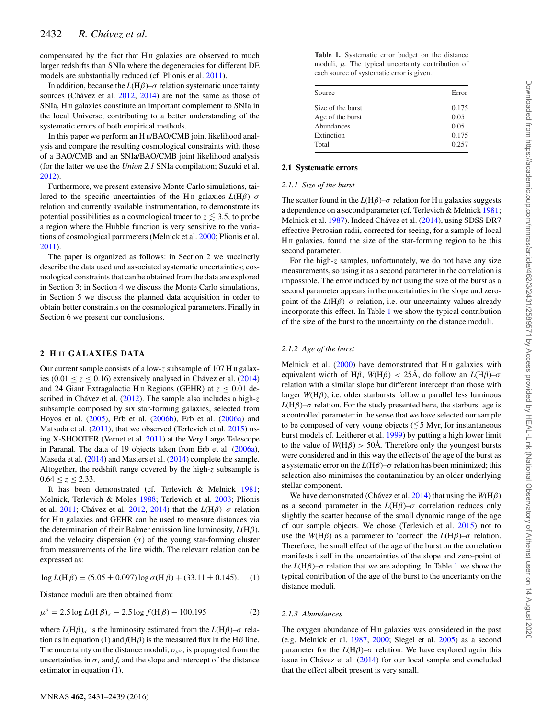compensated by the fact that  $H<sub>II</sub>$  galaxies are observed to much larger redshifts than SNIa where the degeneracies for different DE models are substantially reduced (cf. Plionis et al. [2011\)](#page-8-10).

In addition, because the  $L(H\beta)$ – $\sigma$  relation systematic uncertainty sources (Chávez et al.  $2012$ ,  $2014$ ) are not the same as those of SNIa, H<sub>II</sub> galaxies constitute an important complement to SNIa in the local Universe, contributing to a better understanding of the systematic errors of both empirical methods.

In this paper we perform an H II/BAO/CMB joint likelihood analysis and compare the resulting cosmological constraints with those of a BAO/CMB and an SNIa/BAO/CMB joint likelihood analysis (for the latter we use the *Union 2.1* SNIa compilation; Suzuki et al. [2012\)](#page-8-8).

Furthermore, we present extensive Monte Carlo simulations, tailored to the specific uncertainties of the H<sub>II</sub> galaxies  $L(H\beta)$ –*σ* relation and currently available instrumentation, to demonstrate its potential possibilities as a cosmological tracer to  $z \lesssim 3.5$ , to probe a region where the Hubble function is very sensitive to the variations of cosmological parameters (Melnick et al. [2000;](#page-8-12) Plionis et al. [2011\)](#page-8-10).

The paper is organized as follows: in Section 2 we succinctly describe the data used and associated systematic uncertainties; cosmological constraints that can be obtained from the data are explored in Section 3; in Section 4 we discuss the Monte Carlo simulations, in Section 5 we discuss the planned data acquisition in order to obtain better constraints on the cosmological parameters. Finally in Section 6 we present our conclusions.

#### **2 H I I GALAXIES DATA**

Our current sample consists of a low-*z* subsample of 107 H II galaxies (0.01  $\leq z \leq 0.16$ ) extensively analysed in Chávez et al. ([2014\)](#page-8-15) and 24 Giant Extragalactic H<sub>II</sub> Regions (GEHR) at  $z \le 0.01$  de-scribed in Chávez et al. ([2012\)](#page-8-14). The sample also includes a high-z subsample composed by six star-forming galaxies, selected from Hoyos et al. [\(2005\)](#page-8-17), Erb et al. [\(2006b\)](#page-8-18), Erb et al. [\(2006a\)](#page-8-19) and Matsuda et al. [\(2011\)](#page-8-20), that we observed (Terlevich et al. [2015\)](#page-8-16) using X-SHOOTER (Vernet et al. [2011\)](#page-8-21) at the Very Large Telescope in Paranal. The data of 19 objects taken from Erb et al. [\(2006a\)](#page-8-19), Maseda et al. [\(2014\)](#page-8-22) and Masters et al. [\(2014\)](#page-8-23) complete the sample. Altogether, the redshift range covered by the high-*z* subsample is  $0.64 \le z \le 2.33$ .

It has been demonstrated (cf. Terlevich & Melnick [1981;](#page-8-24) Melnick, Terlevich & Moles [1988;](#page-8-25) Terlevich et al. [2003;](#page-8-26) Plionis et al.  $2011$ ; Chávez et al.  $2012$ ,  $2014$ ) that the  $L(H\beta)-\sigma$  relation for H<sub>II</sub> galaxies and GEHR can be used to measure distances via the determination of their Balmer emission line luminosity, *L*(H*β*), and the velocity dispersion  $(\sigma)$  of the young star-forming cluster from measurements of the line width. The relevant relation can be expressed as:

log *L*(H *β*) = (5.05 ± 0.097) log  $\sigma$ (H *β*) + (33.11 ± 0.145). (1)

Distance moduli are then obtained from:

$$
\mu^{\circ} = 2.5 \log L(\text{H }\beta)_{\sigma} - 2.5 \log f(\text{H }\beta) - 100.195 \tag{2}
$$

where  $L(H\beta)_{\sigma}$  is the luminosity estimated from the  $L(H\beta)$ – $\sigma$  relation as in equation (1) and  $f(H\beta)$  is the measured flux in the H $\beta$  line. The uncertainty on the distance moduli,  $\sigma_{\mu}$ <sup>o</sup>, is propagated from the uncertainties in  $\sigma_i$  and  $f_i$  and the slope and intercept of the distance estimator in equation (1).

<span id="page-1-0"></span>**Table 1.** Systematic error budget on the distance moduli, *μ*. The typical uncertainty contribution of each source of systematic error is given.

| Error |
|-------|
| 0.175 |
| 0.05  |
| 0.05  |
| 0.175 |
| 0.257 |
|       |

#### **2.1 Systematic errors**

## *2.1.1 Size of the burst*

The scatter found in the  $L(H\beta)$ – $\sigma$  relation for H II galaxies suggests a dependence on a second parameter (cf. Terlevich & Melnick [1981;](#page-8-24) Melnick et al. [1987\)](#page-8-27). Indeed Chávez et al. ([2014\)](#page-8-15), using SDSS DR7 effective Petrosian radii, corrected for seeing, for a sample of local H<sub>II</sub> galaxies, found the size of the star-forming region to be this second parameter.

For the high-*z* samples, unfortunately, we do not have any size measurements, so using it as a second parameter in the correlation is impossible. The error induced by not using the size of the burst as a second parameter appears in the uncertainties in the slope and zeropoint of the  $L(H\beta)$ – $\sigma$  relation, i.e. our uncertainty values already incorporate this effect. In Table [1](#page-1-0) we show the typical contribution of the size of the burst to the uncertainty on the distance moduli.

#### *2.1.2 Age of the burst*

Melnick et al.  $(2000)$  have demonstrated that H $\scriptstyle\rm II$  galaxies with equivalent width of H $\beta$ ,  $W(H\beta) < 25\text{\AA}$ , do follow an  $L(H\beta)-\sigma$ relation with a similar slope but different intercept than those with larger  $W(H\beta)$ , i.e. older starbursts follow a parallel less luminous *L*(H*β*)– $\sigma$  relation. For the study presented here, the starburst age is a controlled parameter in the sense that we have selected our sample to be composed of very young objects  $(\lesssim 5 \text{ Myr}, \text{ for instantaneous})$ burst models cf. Leitherer et al. [1999\)](#page-8-28) by putting a high lower limit to the value of  $W(H\beta) > 50$ Å. Therefore only the youngest bursts were considered and in this way the effects of the age of the burst as a systematic error on the  $L(H\beta)$ – $\sigma$  relation has been minimized; this selection also minimises the contamination by an older underlying stellar component.

We have demonstrated (Chávez et al.  $2014$ ) that using the *W*(H $\beta$ ) as a second parameter in the  $L(H\beta)$ – $\sigma$  correlation reduces only slightly the scatter because of the small dynamic range of the age of our sample objects. We chose (Terlevich et al. [2015\)](#page-8-16) not to use the *W*(H $\beta$ ) as a parameter to 'correct' the *L*(H $\beta$ )– $\sigma$  relation. Therefore, the small effect of the age of the burst on the correlation manifests itself in the uncertainties of the slope and zero-point of the  $L(H\beta)$ – $\sigma$  relation that we are adopting. In Table [1](#page-1-0) we show the typical contribution of the age of the burst to the uncertainty on the distance moduli.

# *2.1.3 Abundances*

The oxygen abundance of H<sub>II</sub> galaxies was considered in the past (e.g. Melnick et al. [1987,](#page-8-27) [2000;](#page-8-12) Siegel et al. [2005\)](#page-8-13) as a second parameter for the  $L(H\beta)$ – $\sigma$  relation. We have explored again this issue in Chávez et al.  $(2014)$  $(2014)$  for our local sample and concluded that the effect albeit present is very small.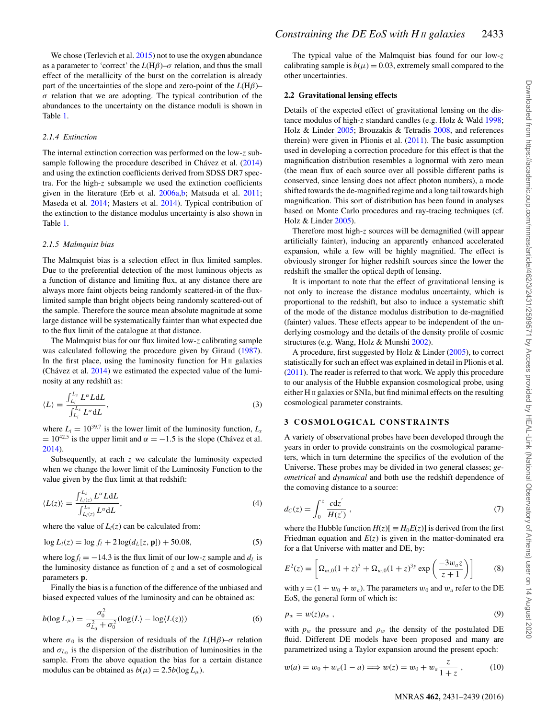We chose (Terlevich et al. [2015\)](#page-8-16) not to use the oxygen abundance as a parameter to 'correct' the  $L(H\beta)$ – $\sigma$  relation, and thus the small effect of the metallicity of the burst on the correlation is already part of the uncertainties of the slope and zero-point of the *L*(H*β*)–  $\sigma$  relation that we are adopting. The typical contribution of the abundances to the uncertainty on the distance moduli is shown in Table [1.](#page-1-0)

## *2.1.4 Extinction*

The internal extinction correction was performed on the low-*z* subsample following the procedure described in Chavez et al.  $(2014)$  $(2014)$ and using the extinction coefficients derived from SDSS DR7 spectra. For the high-*z* subsample we used the extinction coefficients given in the literature (Erb et al. [2006a](#page-8-18)[,b;](#page-8-19) Matsuda et al. [2011;](#page-8-20) Maseda et al. [2014;](#page-8-22) Masters et al. [2014\)](#page-8-23). Typical contribution of the extinction to the distance modulus uncertainty is also shown in Table [1.](#page-1-0)

#### *2.1.5 Malmquist bias*

The Malmquist bias is a selection effect in flux limited samples. Due to the preferential detection of the most luminous objects as a function of distance and limiting flux, at any distance there are always more faint objects being randomly scattered-in of the fluxlimited sample than bright objects being randomly scattered-out of the sample. Therefore the source mean absolute magnitude at some large distance will be systematically fainter than what expected due to the flux limit of the catalogue at that distance.

The Malmquist bias for our flux limited low-*z* calibrating sample was calculated following the procedure given by Giraud [\(1987\)](#page-8-29). In the first place, using the luminosity function for  $H_{II}$  galaxies (Chávez et al.  $2014$ ) we estimated the expected value of the luminosity at any redshift as:

$$
\langle L \rangle = \frac{\int_{L_i}^{L_s} L^{\alpha} L \mathrm{d}L}{\int_{L_i}^{L_s} L^{\alpha} \mathrm{d}L},\tag{3}
$$

where  $L_i = 10^{39.7}$  is the lower limit of the luminosity function,  $L_s$  $= 10^{42.5}$  is the upper limit and  $\alpha = -1.5$  is the slope (Chávez et al. [2014\)](#page-8-15).

Subsequently, at each *z* we calculate the luminosity expected when we change the lower limit of the Luminosity Function to the value given by the flux limit at that redshift:

$$
\langle L(z) \rangle = \frac{\int_{L_l(z)}^{L_s} L^{\alpha} L \mathrm{d}L}{\int_{L_l(z)}^{L_s} L^{\alpha} \mathrm{d}L},\tag{4}
$$

where the value of  $L_l(z)$  can be calculated from:

$$
\log L_l(z) = \log f_l + 2\log(d_L[z, \mathbf{p}]) + 50.08,\tag{5}
$$

where  $\log f_l = -14.3$  is the flux limit of our low-*z* sample and  $d_l$  is the luminosity distance as function of *z* and a set of cosmological parameters **p**.

Finally the bias is a function of the difference of the unbiased and biased expected values of the luminosity and can be obtained as:

$$
b(\log L_{\mu}) = \frac{\sigma_0^2}{\sigma_{L_0}^2 + \sigma_0^2} (\log \langle L \rangle - \log \langle L(z) \rangle)
$$
 (6)

where  $\sigma_0$  is the dispersion of residuals of the *L*(H $\beta$ )– $\sigma$  relation and  $\sigma_{L_0}$  is the dispersion of the distribution of luminosities in the sample. From the above equation the bias for a certain distance modulus can be obtained as  $b(\mu) = 2.5b(\log L_{\mu})$ .

The typical value of the Malmquist bias found for our low-*z* calibrating sample is  $b(\mu) = 0.03$ , extremely small compared to the other uncertainties.

## **2.2 Gravitational lensing effects**

Details of the expected effect of gravitational lensing on the distance modulus of high-*z* standard candles (e.g. Holz & Wald [1998;](#page-8-30) Holz & Linder [2005;](#page-8-31) Brouzakis & Tetradis [2008,](#page-8-32) and references therein) were given in Plionis et al. [\(2011\)](#page-8-10). The basic assumption used in developing a correction procedure for this effect is that the magnification distribution resembles a lognormal with zero mean (the mean flux of each source over all possible different paths is conserved, since lensing does not affect photon numbers), a mode shifted towards the de-magnified regime and a long tail towards high magnification. This sort of distribution has been found in analyses based on Monte Carlo procedures and ray-tracing techniques (cf. Holz & Linder [2005\)](#page-8-31).

Therefore most high-*z* sources will be demagnified (will appear artificially fainter), inducing an apparently enhanced accelerated expansion, while a few will be highly magnified. The effect is obviously stronger for higher redshift sources since the lower the redshift the smaller the optical depth of lensing.

It is important to note that the effect of gravitational lensing is not only to increase the distance modulus uncertainty, which is proportional to the redshift, but also to induce a systematic shift of the mode of the distance modulus distribution to de-magnified (fainter) values. These effects appear to be independent of the underlying cosmology and the details of the density profile of cosmic structures (e.g. Wang, Holz & Munshi [2002\)](#page-8-33).

A procedure, first suggested by Holz & Linder [\(2005\)](#page-8-31), to correct statistically for such an effect was explained in detail in Plionis et al. [\(2011\)](#page-8-10). The reader is referred to that work. We apply this procedure to our analysis of the Hubble expansion cosmological probe, using either H II galaxies or SNIa, but find minimal effects on the resulting cosmological parameter constraints.

#### **3 COSMOLOGICAL CONSTRAINTS**

A variety of observational probes have been developed through the years in order to provide constraints on the cosmological parameters, which in turn determine the specifics of the evolution of the Universe. These probes may be divided in two general classes; *geometrical* and *dynamical* and both use the redshift dependence of the comoving distance to a source:

$$
d_C(z) = \int_0^z \frac{cdz'}{H(z')} , \qquad (7)
$$

where the Hubble function  $H(z)$ [ $\equiv H_0 E(z)$ ] is derived from the first Friedman equation and  $E(z)$  is given in the matter-dominated era for a flat Universe with matter and DE, by:

$$
E^{2}(z) = \left[\Omega_{m,0}(1+z)^{3} + \Omega_{w,0}(1+z)^{3y} \exp\left(\frac{-3w_{a}z}{z+1}\right)\right]
$$
 (8)

with  $y = (1 + w_0 + w_a)$ . The parameters  $w_0$  and  $w_a$  refer to the DE EoS, the general form of which is:

$$
p_w = w(z)\rho_w \t{,} \t(9)
$$

with  $p_w$  the pressure and  $\rho_w$  the density of the postulated DE fluid. Different DE models have been proposed and many are parametrized using a Taylor expansion around the present epoch:

$$
w(a) = w_0 + w_a(1 - a) \Longrightarrow w(z) = w_0 + w_a \frac{z}{1 + z}, \quad (10)
$$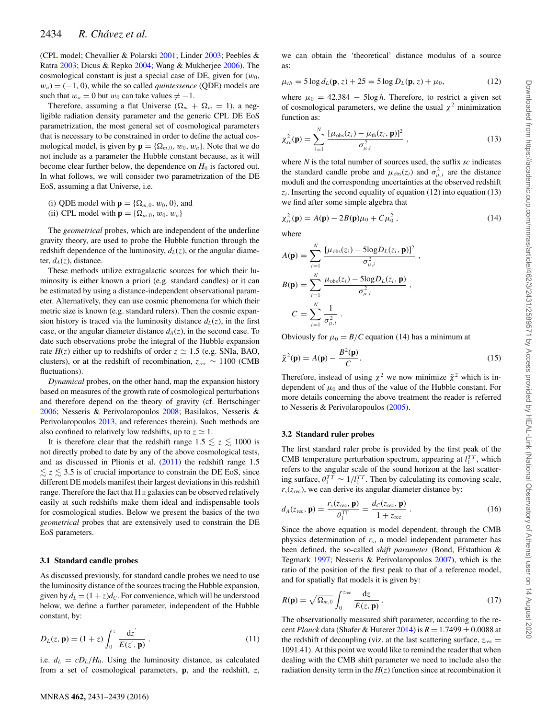(CPL model; Chevallier & Polarski [2001;](#page-8-34) Linder [2003;](#page-8-35) Peebles & Ratra [2003;](#page-8-36) Dicus & Repko [2004;](#page-8-37) Wang & Mukherjee [2006\)](#page-8-38). The cosmological constant is just a special case of DE, given for  $(w_0,$  $w_a$  = (−1, 0), while the so called *quintessence* (QDE) models are such that  $w_a = 0$  but  $w_0$  can take values  $\neq -1$ .

Therefore, assuming a flat Universe ( $\Omega_m + \Omega_w = 1$ ), a negligible radiation density parameter and the generic CPL DE EoS parametrization, the most general set of cosmological parameters that is necessary to be constrained in order to define the actual cosmological model, is given by  $\mathbf{p} = {\Omega_{m,0}, w_0, w_a}$ . Note that we do not include as a parameter the Hubble constant because, as it will become clear further below, the dependence on  $H_0$  is factored out. In what follows, we will consider two parametrization of the DE EoS, assuming a flat Universe, i.e.

- (i) QDE model with  $\mathbf{p} = {\Omega_{m,0}, w_0, 0}$ , and
- (ii) CPL model with  $\mathbf{p} = {\Omega_{m,0}, w_0, w_a}$

The *geometrical* probes, which are independent of the underline gravity theory, are used to probe the Hubble function through the redshift dependence of the luminosity,  $d_L(z)$ , or the angular diameter,  $d_A(z)$ , distance.

These methods utilize extragalactic sources for which their luminosity is either known a priori (e.g. standard candles) or it can be estimated by using a distance-independent observational parameter. Alternatively, they can use cosmic phenomena for which their metric size is known (e.g. standard rulers). Then the cosmic expansion history is traced via the luminosity distance  $d<sub>L</sub>(z)$ , in the first case, or the angular diameter distance  $d_A(z)$ , in the second case. To date such observations probe the integral of the Hubble expansion rate  $H(z)$  either up to redshifts of order  $z \approx 1.5$  (e.g. SNIa, BAO, clusters), or at the redshift of recombination,  $z_{rec} \sim 1100$  (CMB fluctuations).

*Dynamical* probes, on the other hand, map the expansion history based on measures of the growth rate of cosmological perturbations and therefore depend on the theory of gravity (cf. Bertschinger [2006;](#page-8-39) Nesseris & Perivolaropoulos [2008;](#page-8-40) Basilakos, Nesseris & Perivolaropoulos [2013,](#page-8-41) and references therein). Such methods are also confined to relatively low redshifts, up to  $z \approx 1$ .

It is therefore clear that the redshift range  $1.5 \lesssim z \lesssim 1000$  is not directly probed to date by any of the above cosmological tests, and as discussed in Plionis et al. [\(2011\)](#page-8-10) the redshift range 1.5  $\lesssim$  z  $\lesssim$  3.5 is of crucial importance to constrain the DE EoS, since different DE models manifest their largest deviations in this redshift range. Therefore the fact that H II galaxies can be observed relatively easily at such redshifts make them ideal and indispensable tools for cosmological studies. Below we present the basics of the two *geometrical* probes that are extensively used to constrain the DE EoS parameters.

#### **3.1 Standard candle probes**

As discussed previously, for standard candle probes we need to use the luminosity distance of the sources tracing the Hubble expansion, given by  $d_L = (1 + z)d_C$ . For convenience, which will be understood below, we define a further parameter, independent of the Hubble constant, by:

$$
D_L(z, \mathbf{p}) = (1+z) \int_0^z \frac{\mathrm{d}z'}{E(z', \mathbf{p})} . \tag{11}
$$

i.e.  $d_L = cD_L/H_0$ . Using the luminosity distance, as calculated from a set of cosmological parameters, **p**, and the redshift, *z*,

we can obtain the 'theoretical' distance modulus of a source as:

$$
\mu_{th} = 5 \log d_L(\mathbf{p}, z) + 25 = 5 \log D_L(\mathbf{p}, z) + \mu_0,
$$
\n(12)

where  $\mu_0 = 42.384 - 5\log h$ . Therefore, to restrict a given set of cosmological parameters, we define the usual  $\chi^2$  minimization function as:

$$
\chi_{sc}^{2}(\mathbf{p}) = \sum_{i=1}^{N} \frac{[\mu_{obs}(z_i) - \mu_{th}(z_i, \mathbf{p})]^2}{\sigma_{\mu,i}^2}, \qquad (13)
$$

where *N* is the total number of sources used, the suffix *sc* indicates the standard candle probe and  $\mu_{obs}(z_i)$  and  $\sigma_{\mu,i}^2$  are the distance moduli and the corresponding uncertainties at the observed redshift  $z_i$ . Inserting the second equality of equation (12) into equation (13) we find after some simple algebra that

$$
\chi_{sc}^{2}(\mathbf{p}) = A(\mathbf{p}) - 2B(\mathbf{p})\mu_{0} + C\mu_{0}^{2}, \qquad (14)
$$

where

$$
A(\mathbf{p}) = \sum_{i=1}^{N} \frac{[\mu_{obs}(z_i) - 5\log D_L(z_i, \mathbf{p})]^2}{\sigma_{\mu,i}^2},
$$
  
\n
$$
B(\mathbf{p}) = \sum_{i=1}^{N} \frac{\mu_{obs}(z_i) - 5\log D_L(z_i, \mathbf{p})}{\sigma_{\mu,i}^2},
$$
  
\n
$$
C = \sum_{i=1}^{N} \frac{1}{\sigma_{\mu,i}^2}.
$$

Obviously for  $\mu_0 = B/C$  equation (14) has a minimum at

$$
\tilde{\chi}^2(\mathbf{p}) = A(\mathbf{p}) - \frac{B^2(\mathbf{p})}{C}.
$$
\n(15)

Therefore, instead of using  $\chi^2$  we now minimize  $\tilde{\chi}^2$  which is independent of  $\mu_0$  and thus of the value of the Hubble constant. For more details concerning the above treatment the reader is referred to Nesseris & Perivolaropoulos [\(2005\)](#page-8-42).

#### **3.2 Standard ruler probes**

The first standard ruler probe is provided by the first peak of the CMB temperature perturbation spectrum, appearing at  $l_1^{TT}$ , which refers to the angular scale of the sound horizon at the last scattering surface,  $\theta_1^{TT} \sim 1/l_1^{TT}$ . Then by calculating its comoving scale,  $r<sub>s</sub>(z<sub>rec</sub>)$ , we can derive its angular diameter distance by:

$$
d_A(z_{\text{rec}}, \mathbf{p}) = \frac{r_s(z_{\text{rec}}, \mathbf{p})}{\theta_1^{\text{TT}}} = \frac{d_C(z_{\text{rec}}, \mathbf{p})}{1 + z_{\text{rec}}}.
$$
 (16)

Since the above equation is model dependent, through the CMB physics determination of *rs*, a model independent parameter has been defined, the so-called *shift parameter* (Bond, Efstathiou & Tegmark [1997;](#page-8-43) Nesseris & Perivolaropoulos [2007\)](#page-8-44), which is the ratio of the position of the first peak to that of a reference model, and for spatially flat models it is given by:

$$
R(\mathbf{p}) = \sqrt{\Omega_{m,0}} \int_0^{z_{\text{rec}}} \frac{dz}{E(z, \mathbf{p})} \,. \tag{17}
$$

The observationally measured shift parameter, according to the recent *Planck* data (Shafer & Huterer [2014\)](#page-8-45) is *R* = 1.7499 ± 0.0088 at the redshift of decoupling (viz. at the last scattering surface,  $z_{\text{rec}} =$ 1091.41). At this point we would like to remind the reader that when dealing with the CMB shift parameter we need to include also the radiation density term in the  $H(z)$  function since at recombination it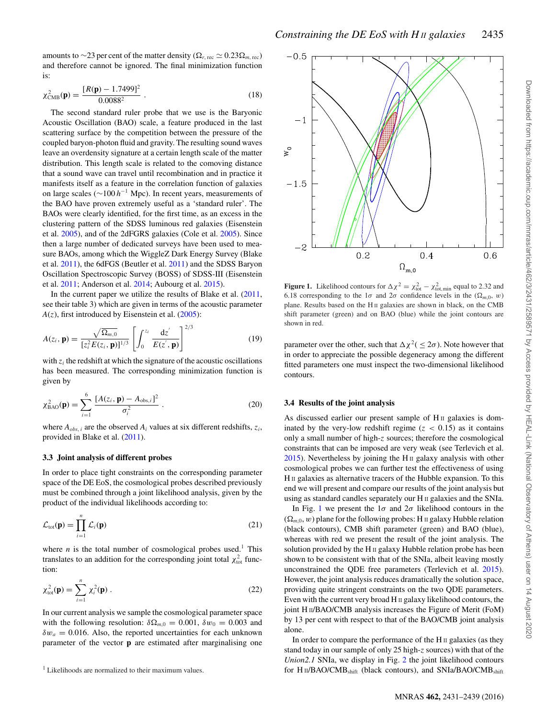amounts to ∼23 per cent of the matter density ( $Ω<sub>r, rec</sub> ≈ 0.23Ω<sub>m, rec</sub>$ ) and therefore cannot be ignored. The final minimization function is:

$$
\chi^2_{\text{CMB}}(\mathbf{p}) = \frac{[R(\mathbf{p}) - 1.7499]^2}{0.0088^2} \ . \tag{18}
$$

The second standard ruler probe that we use is the Baryonic Acoustic Oscillation (BAO) scale, a feature produced in the last scattering surface by the competition between the pressure of the coupled baryon-photon fluid and gravity. The resulting sound waves leave an overdensity signature at a certain length scale of the matter distribution. This length scale is related to the comoving distance that a sound wave can travel until recombination and in practice it manifests itself as a feature in the correlation function of galaxies on large scales (∼100 *h*<sup>−</sup><sup>1</sup> Mpc). In recent years, measurements of the BAO have proven extremely useful as a 'standard ruler'. The BAOs were clearly identified, for the first time, as an excess in the clustering pattern of the SDSS luminous red galaxies (Eisenstein et al. [2005\)](#page-8-6), and of the 2dFGRS galaxies (Cole et al. [2005\)](#page-8-46). Since then a large number of dedicated surveys have been used to measure BAOs, among which the WiggleZ Dark Energy Survey (Blake et al. [2011\)](#page-8-47), the 6dFGS (Beutler et al. [2011\)](#page-8-48) and the SDSS Baryon Oscillation Spectroscopic Survey (BOSS) of SDSS-III (Eisenstein et al. [2011;](#page-8-49) Anderson et al. [2014;](#page-8-50) Aubourg et al. [2015\)](#page-8-51).

In the current paper we utilize the results of Blake et al. [\(2011,](#page-8-47) see their table 3) which are given in terms of the acoustic parameter  $A(z)$ , first introduced by Eisenstein et al.  $(2005)$ :

$$
A(z_i, \mathbf{p}) = \frac{\sqrt{\Omega_{m,0}}}{\left[z_i^2 E(z_i, \mathbf{p})\right]^{1/3}} \left[\int_0^{z_i} \frac{\mathrm{d}z'}{E(z', \mathbf{p})}\right]^{2/3} \tag{19}
$$

with  $z_i$  the redshift at which the signature of the acoustic oscillations has been measured. The corresponding minimization function is given by

$$
\chi_{\text{BAO}}^2(\mathbf{p}) = \sum_{i=1}^6 \frac{[A(z_i, \mathbf{p}) - A_{\text{obs},i}]^2}{\sigma_i^2} \,. \tag{20}
$$

where  $A_{obs,i}$  are the observed  $A_i$  values at six different redshifts,  $z_i$ , provided in Blake et al. [\(2011\)](#page-8-47).

## **3.3 Joint analysis of different probes**

In order to place tight constraints on the corresponding parameter space of the DE EoS, the cosmological probes described previously must be combined through a joint likelihood analysis, given by the product of the individual likelihoods according to:

$$
\mathcal{L}_{\text{tot}}(\mathbf{p}) = \prod_{i=1}^{n} \mathcal{L}_i(\mathbf{p})
$$
\n(21)

where *n* is the total number of cosmological probes used.<sup>1</sup> This translates to an addition for the corresponding joint total  $\chi^2_{\text{tot}}$  function:

$$
\chi_{\text{tot}}^2(\mathbf{p}) = \sum_{i=1}^n \chi_i^2(\mathbf{p}) \,. \tag{22}
$$

In our current analysis we sample the cosmological parameter space with the following resolution:  $\delta\Omega_{m,0} = 0.001$ ,  $\delta w_0 = 0.003$  and  $\delta w_a = 0.016$ . Also, the reported uncertainties for each unknown parameter of the vector **p** are estimated after marginalising one

<sup>1</sup> Likelihoods are normalized to their maximum values.

<span id="page-4-0"></span>

**Figure 1.** Likelihood contours for  $\Delta \chi^2 = \chi^2_{\text{tot}} - \chi^2_{\text{tot,min}}$  equal to 2.32 and 6.18 corresponding to the  $1\sigma$  and  $2\sigma$  confidence levels in the  $(\Omega_{m,0}, w)$ plane. Results based on the H<sub>II</sub> galaxies are shown in black, on the CMB shift parameter (green) and on BAO (blue) while the joint contours are shown in red.

parameter over the other, such that  $\Delta \chi^2(\leq 2\sigma)$ . Note however that in order to appreciate the possible degeneracy among the different fitted parameters one must inspect the two-dimensional likelihood contours.

#### **3.4 Results of the joint analysis**

As discussed earlier our present sample of H<sub>II</sub> galaxies is dominated by the very-low redshift regime  $(z < 0.15)$  as it contains only a small number of high-*z* sources; therefore the cosmological constraints that can be imposed are very weak (see Terlevich et al.  $2015$ ). Nevertheless by joining the H $\scriptstyle\rm II$  galaxy analysis with other cosmological probes we can further test the effectiveness of using H II galaxies as alternative tracers of the Hubble expansion. To this end we will present and compare our results of the joint analysis but using as standard candles separately our H II galaxies and the SNIa.

In Fig. [1](#page-4-0) we present the  $1\sigma$  and  $2\sigma$  likelihood contours in the  $(\Omega_{m,0}, w)$  plane for the following probes: H  $\text{II}$  galaxy Hubble relation (black contours), CMB shift parameter (green) and BAO (blue), whereas with red we present the result of the joint analysis. The solution provided by the H II galaxy Hubble relation probe has been shown to be consistent with that of the SNIa, albeit leaving mostly unconstrained the QDE free parameters (Terlevich et al. [2015\)](#page-8-16). However, the joint analysis reduces dramatically the solution space, providing quite stringent constraints on the two QDE parameters. Even with the current very broad  $H \text{II}$  galaxy likelihood contours, the joint H II/BAO/CMB analysis increases the Figure of Merit (FoM) by 13 per cent with respect to that of the BAO/CMB joint analysis alone.

In ord[e](#page-5-0)r to compare the performance of the H $\scriptstyle\rm II$  galaxies (as they stand today in our sample of only 25 [h](#page-5-1)igh-*z* sources) with that of the *Union2.1* SNIa, we display in Fig. [2](#page-5-0) the joint likelihood contours for H $\text{II/BAO/CMB}_{\text{shift}}$  (black contours), and SNIa/BAO/CMB $_{\text{shift}}$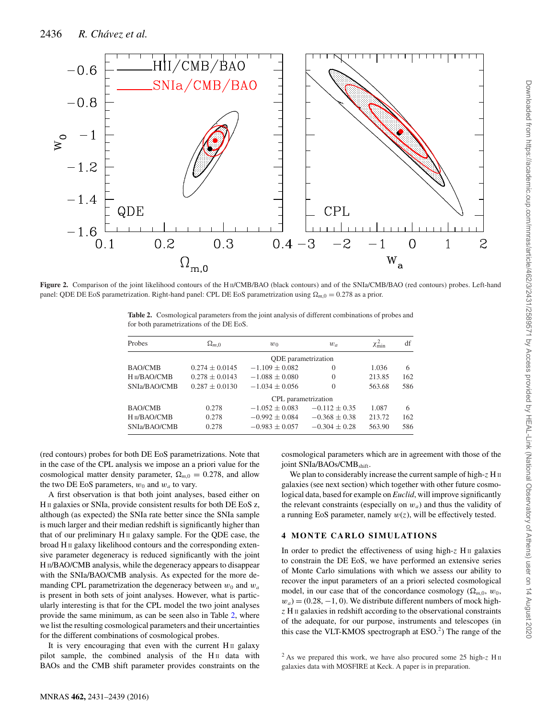<span id="page-5-0"></span>

<span id="page-5-1"></span>**Figure 2.** Comparison of the joint likelihood contours of the H II/CMB/BAO (black contours) and of the SNIa/CMB/BAO (red contours) probes. Left-hand panel: QDE DE EoS parametrization. Right-hand panel: CPL DE EoS parametrization using  $\Omega_{m,0} = 0.278$  as a prior.

**Table 2.** Cosmological parameters from the joint analysis of different combinations of probes and for both parametrizations of the DE EoS.

| Probes                   | $\Omega_{m,0}$             | $w_0$               | $w_a$           | $\chi^2_{\rm min}$ | df  |
|--------------------------|----------------------------|---------------------|-----------------|--------------------|-----|
|                          | <b>QDE</b> parametrization |                     |                 |                    |     |
| <b>BAO/CMB</b>           | $0.274 + 0.0145$           | $-1.109 + 0.082$    | $\Omega$        | 1.036              | 6   |
| H <sub>II</sub> /BAO/CMB | $0.278 + 0.0143$           | $-1.088 + 0.080$    | $\Omega$        | 213.85             | 162 |
| SNIa/BAO/CMB             | $0.287 + 0.0130$           | $-1.034 + 0.056$    | $\Omega$        | 563.68             | 586 |
|                          |                            | CPL parametrization |                 |                    |     |
| <b>BAO/CMB</b>           | 0.278                      | $-1.052 + 0.083$    | $-0.112 + 0.35$ | 1.087              | 6   |
| H <sub>II</sub> /BAO/CMB | 0.278                      | $-0.992 + 0.084$    | $-0.368 + 0.38$ | 213.72             | 162 |
| SNIa/BAO/CMB             | 0.278                      | $-0.983 \pm 0.057$  | $-0.304 + 0.28$ | 563.90             | 586 |

(red contours) probes for both DE EoS parametrizations. Note that in the case of the CPL analysis we impose an a priori value for the cosmological matter density parameter,  $\Omega_{m,0} = 0.278$ , and allow the two DE EoS parameters,  $w_0$  and  $w_a$  to vary.

A first observation is that both joint analyses, based either on H II galaxies or SNIa, provide consistent results for both DE EoS z, although (as expected) the SNIa rate better since the SNIa sample is much larger and their median redshift is significantly higher than that of our preliminary H<sub>II</sub> galaxy sample. For the QDE case, the broad H II galaxy likelihood contours and the corresponding extensive parameter degeneracy is reduced significantly with the joint H<sub>II</sub>/BAO/CMB analysis, while the degeneracy appears to disappear with the SNIa/BAO/CMB analysis. As expected for the more demanding CPL parametrization the degeneracy between  $w_0$  and  $w_a$ is present in both sets of joint analyses. However, what is particularly interesting is that for the CPL model the two joint analyses provide the same minimum, as can be seen also in Table [2,](#page-5-1) where we list the resulting cosmological parameters and their uncertainties for the different combinations of cosmological probes.

It is very encouraging that even with the current  $H<sub>II</sub>$  galaxy pilot sample, the combined analysis of the  $H<sub>II</sub>$  data with BAOs and the CMB shift parameter provides constraints on the

cosmological parameters which are in agreement with those of the joint SNIa/BAOs/CMB<sub>shift</sub>.

We plan to considerably increase the current sample of high- $z$  H<sub>II</sub> galaxies (see next section) which together with other future cosmological data, based for example on *Euclid*, will improve significantly the relevant constraints (especially on  $w_a$ ) and thus the validity of a running EoS parameter, namely  $w(z)$ , will be effectively tested.

## **4 MONTE CARLO SIMULATIONS**

In order to predict the effectiveness of using high- $z$  H<sub>II</sub> galaxies to constrain the DE EoS, we have performed an extensive series of Monte Carlo simulations with which we assess our ability to recover the input parameters of an a priori selected cosmological model, in our case that of the concordance cosmology ( $\Omega_{m,0}$ ,  $w_0$ ,  $w_a$  = (0.28, -1, 0). We distribute different numbers of mock high*z* H II galaxies in redshift according to the observational constraints of the adequate, for our purpose, instruments and telescopes (in this case the VLT-KMOS spectrograph at  $ESO<sup>2</sup>$ ) The range of the

<sup>2</sup> As we prepared this work, we have also procured some 25 high-*z* H II galaxies data with MOSFIRE at Keck. A paper is in preparation.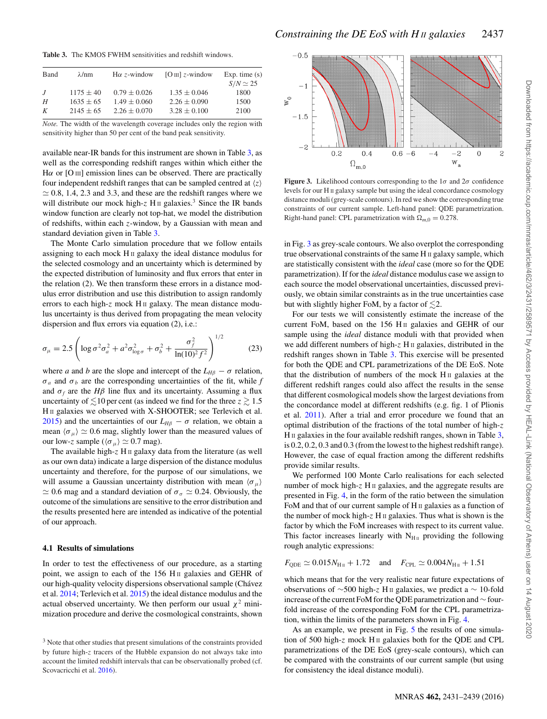<span id="page-6-0"></span>**Table 3.** The KMOS FWHM sensitivities and redshift windows.

| Band    | $\lambda$ /nm | $H\alpha$ z-window | $[O\text{ III}]$ z-window | Exp. time $(s)$ |
|---------|---------------|--------------------|---------------------------|-----------------|
|         |               |                    |                           | $S/N \simeq 25$ |
| $\cdot$ | $1175 \pm 40$ | $0.79 \pm 0.026$   | $1.35 \pm 0.046$          | 1800            |
| H       | $1635 + 65$   | $1.49 \pm 0.060$   | $2.26 \pm 0.090$          | 1500            |
| K       | $2145 \pm 65$ | $2.26 \pm 0.070$   | $3.28 \pm 0.100$          | 2100            |
|         |               |                    |                           |                 |

*Note.* The width of the wavelength coverage includes only the region with sensitivity higher than 50 per cent of the band peak sensitivity.

available near-IR bands for this instrument are shown in Table [3,](#page-6-0) as well as the corresponding redshift ranges within which either the H $\alpha$  or [O III] emission lines can be observed. There are practically four independent redshift ranges that can be sampled centred at  $\langle z \rangle$  $\approx$  0.8, 1.4, 2.3 and 3.3, and these are the redshift ranges where we will distribute our mock high- $z$  H<sub>II</sub> galaxies.<sup>3</sup> Since the IR bands window function are clearly not top-hat, we model the distribution of redshifts, within each *z*-window, by a Gaussian with mean and standard deviation given in Table [3.](#page-6-0)

The Monte Carlo simulation procedure that we follow entails assigning to each mock H II galaxy the ideal distance modulus for the selected cosmology and an uncertainty which is determined by the expected distribution of luminosity and flux errors that enter in the relation (2). We then transform these errors in a distance modulus error distribution and use this distribution to assign randomly errors to each high-z mock H<sub>II</sub> galaxy. The mean distance modulus uncertainty is thus derived from propagating the mean velocity dispersion and flux errors via equation (2), i.e.:

$$
\sigma_{\mu} = 2.5 \left( \log \sigma^2 \sigma_a^2 + a^2 \sigma_{\log \sigma}^2 + \sigma_b^2 + \frac{\sigma_f^2}{\ln(10)^2 f^2} \right)^{1/2} \tag{23}
$$

where *a* and *b* are the slope and intercept of the  $L_{HB} - \sigma$  relation,  $\sigma_a$  and  $\sigma_b$  are the corresponding uncertainties of the fit, while *f* and  $\sigma_f$  are the *H* $\beta$  line flux and its uncertainty. Assuming a flux uncertainty of  $\lesssim$  10 per cent (as indeed we find for the three  $z \gtrsim 1.5$ H<sub>II</sub> galaxies we observed with X-SHOOTER; see Terlevich et al. [2015\)](#page-8-16) and the uncertainties of our  $L_{H\beta} - \sigma$  relation, we obtain a mean  $\langle \sigma_\mu \rangle \simeq 0.6$  mag, slightly lower than the measured values of our low-*z* sample ( $\langle \sigma_{\mu} \rangle \simeq 0.7$  mag).

The available high-z H<sub>II</sub> galaxy data from the literature (as well as our own data) indicate a large dispersion of the distance modulus uncertainty and therefore, for the purpose of our simulations, we will assume a Gaussian uncertainty distribution with mean  $\langle \sigma_{\mu} \rangle$  $\approx$  0.6 mag and a standard deviation of  $\sigma_{\sigma} \approx$  0.24. Obviously, the outcome of the simulations are sensitive to the error distribution and the results presented here are intended as indicative of the potential of our approach.

## **4.1 Results of simulations**

In order to test the effectiveness of our procedure, as a starting point, we assign to each of the 156 H<sub>II</sub> galaxies and GEHR of our high-quality velocity dispersions observational sample (Chávez et al. [2014;](#page-8-15) Terlevich et al. [2015\)](#page-8-16) the ideal distance modulus and the actual observed uncertainty. We then perform our usual  $\chi^2$  minimization procedure and derive the cosmological constraints, shown

<span id="page-6-1"></span>

**Figure 3.** Likelihood contours corresponding to the  $1\sigma$  and  $2\sigma$  confidence levels for our H II galaxy sample but using the ideal concordance cosmology distance moduli (grey-scale contours). In red we show the corresponding true constraints of our current sample. Left-hand panel: QDE parametrization. Right-hand panel: CPL parametrization with  $\Omega_{m,0} = 0.278$ .

in Fig. [3](#page-6-1) as grey-scale contours. We also overplot the corresponding true observational constraints of the same H II galaxy sample, which are statistically consistent with the *ideal* case (more so for the QDE parametrization). If for the *ideal* distance modulus case we assign to each source the model observational uncertainties, discussed previously, we obtain similar constraints as in the true uncertainties case but with slightly higher FoM, by a factor of  $\lesssim$ 2.

For our tests we will consistently estimate the increase of the current FoM, based on the 156 H<sub>II</sub> galaxies and GEHR of our sample using the *ideal* distance moduli with that provided when we add different numbers of high-*z* H II galaxies, distributed in the redshift ranges shown in Table [3.](#page-6-0) This exercise will be presented for both the QDE and CPL parametrizations of the DE EoS. Note that the distribution of numbers of the mock  $H$  II galaxies at the different redshift ranges could also affect the results in the sense that different cosmological models show the largest deviations from the concordance model at different redshifts (e.g. fig. 1 of Plionis et al. [2011\)](#page-8-10). After a trial and error procedure we found that an optimal distribution of the fractions of the total number of high-*z*  $H \text{II}$  galaxies in the four available redshift ranges, shown in Table [3,](#page-6-0) is 0.2, 0.2, 0.3 and 0.3 (from the lowest to the highest redshift range). However, the case of equal fraction among the different redshifts provide similar results.

We performed 100 Monte Carlo realisations for each selected number of mock high-*z* H<sub>II</sub> galaxies, and the aggregate results are presented in Fig. [4,](#page-7-0) in the form of the ratio between the simulation FoM and that of our current sample of H<sub>II</sub> galaxies as a function of the number of mock high-*z* H II galaxies. Thus what is shown is the factor by which the FoM increases with respect to its current value. This factor increases linearly with  $N_{\text{H}_{II}}$  providing the following rough analytic expressions:

 $F_{\text{ODE}} \simeq 0.015N_{\text{H}\text{H}} + 1.72$  and  $F_{\text{CPL}} \simeq 0.004N_{\text{H}\text{H}} + 1.51$ 

which means that for the very realistic near future expectations of observations of ∼500 high-*z* H II galaxies, we predict a ∼ 10-fold increase of the current FoM for the QDE parametrization and∼fourfold increase of the corresponding FoM for the CPL parametrization, within the limits of the parameters shown in Fig. [4.](#page-7-0)

As an example, we present in Fig. [5](#page-7-1) the results of one simulation of 500 high-*z* mock H II galaxies both for the QDE and CPL parametrizations of the DE EoS (grey-scale contours), which can be compared with the constraints of our current sample (but using for consistency the ideal distance moduli).

<sup>&</sup>lt;sup>3</sup> Note that other studies that present simulations of the constraints provided by future high-*z* tracers of the Hubble expansion do not always take into account the limited redshift intervals that can be observationally probed (cf. Scovacricchi et al. [2016\)](#page-8-52).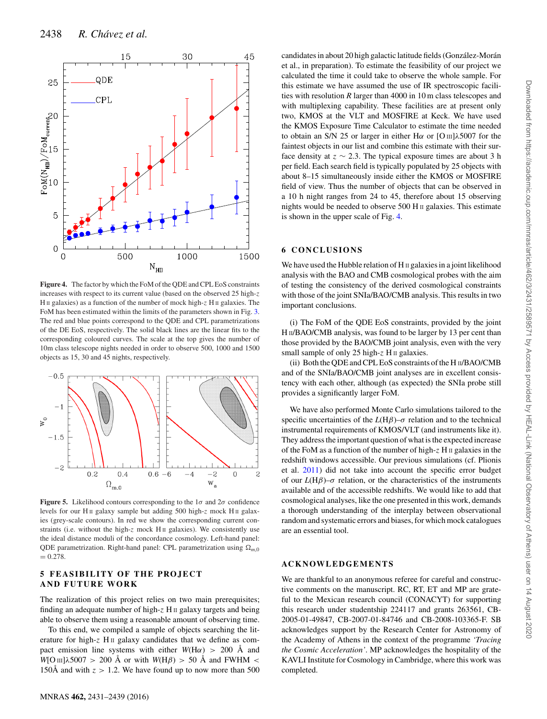<span id="page-7-0"></span>

**Figure 4.** The factor by which the FoM of the QDE and CPL EoS constraints increases with respect to its current value (based on the observed 25 high-*z* H II galaxies) as a function of the number of mock high-z H II galaxies. The FoM has been estimated within the limits of the parameters shown in Fig. [3.](#page-6-1) The red and blue points correspond to the QDE and CPL parametrizations of the DE EoS, respectively. The solid black lines are the linear fits to the corresponding coloured curves. The scale at the top gives the number of 10m class telescope nights needed in order to observe 500, 1000 and 1500 objects as 15, 30 and 45 nights, respectively.

<span id="page-7-1"></span>

**Figure 5.** Likelihood contours corresponding to the  $1\sigma$  and  $2\sigma$  confidence levels for our H<sub>II</sub> galaxy sample but adding 500 high-z mock H<sub>II</sub> galaxies (grey-scale contours). In red we show the corresponding current constraints (i.e. without the high-z mock H<sub>II</sub> galaxies). We consistently use the ideal distance moduli of the concordance cosmology. Left-hand panel: QDE parametrization. Right-hand panel: CPL parametrization using  $\Omega_{m,0}$  $= 0.278.$ 

## **5 FEASIBILITY OF THE PROJECT AND FUTURE WORK**

The realization of this project relies on two main prerequisites; finding an adequate number of high-*z* H II galaxy targets and being able to observe them using a reasonable amount of observing time.

To this end, we compiled a sample of objects searching the literature for high-z H<sub>II</sub> galaxy candidates that we define as compact emission line systems with either  $W(H\alpha) > 200$  Å and  $W[O \text{ III}]\lambda 5007 > 200 \text{ Å}$  or with  $W(H\beta) > 50 \text{ Å}$  and FWHM < 150Å and with  $z > 1.2$ . We have found up to now more than 500 et al., in preparation). To estimate the feasibility of our project we calculated the time it could take to observe the whole sample. For this estimate we have assumed the use of IR spectroscopic facilities with resolution *R* larger than 4000 in 10 m class telescopes and with multiplexing capability. These facilities are at present only two, KMOS at the VLT and MOSFIRE at Keck. We have used the KMOS Exposure Time Calculator to estimate the time needed to obtain an S/N 25 or larger in either H*α* or [O III]*λ*5007 for the faintest objects in our list and combine this estimate with their surface density at  $z \sim 2.3$ . The typical exposure times are about 3 h per field. Each search field is typically populated by 25 objects with about 8–15 simultaneously inside either the KMOS or MOSFIRE field of view. Thus the number of objects that can be observed in a 10 h night ranges from 24 to 45, therefore about 15 observing nights would be needed to observe 500 H II galaxies. This estimate is shown in the upper scale of Fig. [4.](#page-7-0)

candidates in about 20 high galactic latitude fields (González-Morán

# **6 CONCLUSIONS**

We have used the Hubble relation of  $H \text{ } \text{ } \text{ } \text{ } \text{ } \text{ } \text{ } \text{ } \text{ }$  a joint likelihood analysis with the BAO and CMB cosmological probes with the aim of testing the consistency of the derived cosmological constraints with those of the joint SNIa/BAO/CMB analysis. This results in two important conclusions.

(i) The FoM of the QDE EoS constraints, provided by the joint H II/BAO/CMB analysis, was found to be larger by 13 per cent than those provided by the BAO/CMB joint analysis, even with the very small sample of only 25 high-z H II galaxies.

(ii) Both the QDE and CPL EoS constraints of the H II/BAO/CMB and of the SNIa/BAO/CMB joint analyses are in excellent consistency with each other, although (as expected) the SNIa probe still provides a significantly larger FoM.

We have also performed Monte Carlo simulations tailored to the specific uncertainties of the  $L(H\beta)$ – $\sigma$  relation and to the technical instrumental requirements of KMOS/VLT (and instruments like it). They address the important question of what is the expected increase of the FoM as a function of the number of high-*z* H II galaxies in the redshift windows accessible. Our previous simulations (cf. Plionis et al. [2011\)](#page-8-10) did not take into account the specific error budget of our  $L(H\beta)$ – $\sigma$  relation, or the characteristics of the instruments available and of the accessible redshifts. We would like to add that cosmological analyses, like the one presented in this work, demands a thorough understanding of the interplay between observational random and systematic errors and biases, for which mock catalogues are an essential tool.

## **ACKNOWLEDGEMENTS**

We are thankful to an anonymous referee for careful and constructive comments on the manuscript. RC, RT, ET and MP are grateful to the Mexican research council (CONACYT) for supporting this research under studentship 224117 and grants 263561, CB-2005-01-49847, CB-2007-01-84746 and CB-2008-103365-F. SB acknowledges support by the Research Center for Astronomy of the Academy of Athens in the context of the programme *'Tracing the Cosmic Acceleration'*. MP acknowledges the hospitality of the KAVLI Institute for Cosmology in Cambridge, where this work was completed.